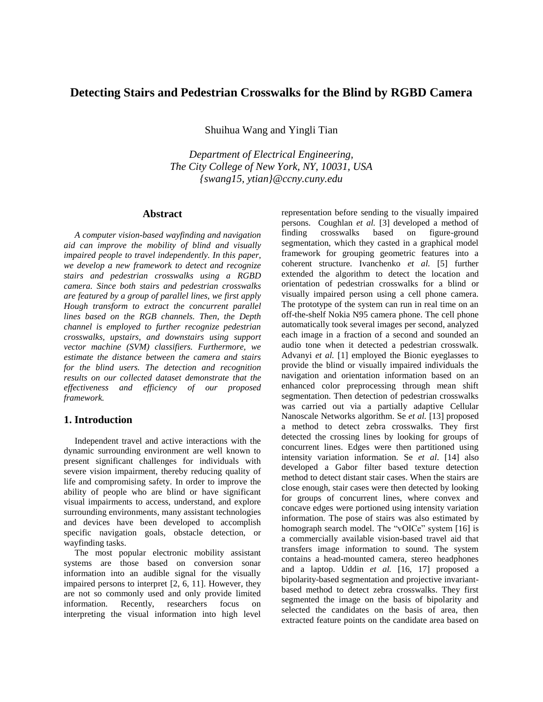# **Detecting Stairs and Pedestrian Crosswalks for the Blind by RGBD Camera**

Shuihua Wang and Yingli Tian

*Department of Electrical Engineering, The City College of New York, NY, 10031, USA {swang15, ytian}@ccny.cuny.edu*

# **Abstract**

*A computer vision-based wayfinding and navigation aid can improve the mobility of blind and visually impaired people to travel independently. In this paper, we develop a new framework to detect and recognize stairs and pedestrian crosswalks using a RGBD camera. Since both stairs and pedestrian crosswalks are featured by a group of parallel lines, we first apply Hough transform to extract the concurrent parallel lines based on the RGB channels. Then, the Depth channel is employed to further recognize pedestrian crosswalks, upstairs, and downstairs using support vector machine (SVM) classifiers. Furthermore, we estimate the distance between the camera and stairs for the blind users. The detection and recognition results on our collected dataset demonstrate that the effectiveness and efficiency of our proposed framework.*

# **1. Introduction**

Independent travel and active interactions with the dynamic surrounding environment are well known to present significant challenges for individuals with severe vision impairment, thereby reducing quality of life and compromising safety. In order to improve the ability of people who are blind or have significant visual impairments to access, understand, and explore surrounding environments, many assistant technologies and devices have been developed to accomplish specific navigation goals, obstacle detection, or wayfinding tasks.

The most popular electronic mobility assistant systems are those based on conversion sonar information into an audible signal for the visually impaired persons to interpret [2, 6, 11]. However, they are not so commonly used and only provide limited information. Recently, researchers focus on interpreting the visual information into high level

representation before sending to the visually impaired persons. Coughlan *et al.* [3] developed a method of finding crosswalks based on figure-ground segmentation, which they casted in a graphical model framework for grouping geometric features into a coherent structure. Ivanchenko *et al.* [5] further extended the algorithm to detect the location and orientation of pedestrian crosswalks for a blind or visually impaired person using a cell phone camera. The prototype of the system can run in real time on an off-the-shelf Nokia N95 camera phone. The cell phone automatically took several images per second, analyzed each image in a fraction of a second and sounded an audio tone when it detected a pedestrian crosswalk. Advanyi *et al.* [1] employed the Bionic eyeglasses to provide the blind or visually impaired individuals the navigation and orientation information based on an enhanced color preprocessing through mean shift segmentation. Then detection of pedestrian crosswalks was carried out via a partially adaptive Cellular Nanoscale Networks algorithm. Se *et al.* [13] proposed a method to detect zebra crosswalks. They first detected the crossing lines by looking for groups of concurrent lines. Edges were then partitioned using intensity variation information. Se *et al*. [14] also developed a Gabor filter based texture detection method to detect distant stair cases. When the stairs are close enough, stair cases were then detected by looking for groups of concurrent lines, where convex and concave edges were portioned using intensity variation information. The pose of stairs was also estimated by homograph search model. The "vOICe" system [16] is a commercially available vision-based travel aid that transfers image information to sound. The system contains a head-mounted camera, stereo headphones and a laptop. Uddin *et al.* [16, 17] proposed a bipolarity-based segmentation and projective invariantbased method to detect zebra crosswalks. They first segmented the image on the basis of bipolarity and selected the candidates on the basis of area, then extracted feature points on the candidate area based on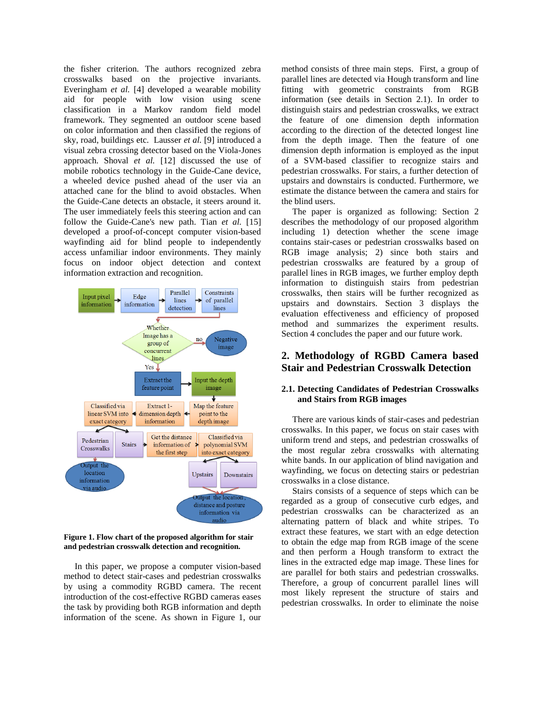the fisher criterion. The authors recognized zebra crosswalks based on the projective invariants. Everingham *et al.* [4] developed a wearable mobility aid for people with low vision using scene classification in a Markov random field model framework. They segmented an outdoor scene based on color information and then classified the regions of sky, road, buildings etc. Lausser *et al.* [9] introduced a visual zebra crossing detector based on the Viola-Jones approach. Shoval *et al.* [12] discussed the use of mobile robotics technology in the Guide-Cane device, a wheeled device pushed ahead of the user via an attached cane for the blind to avoid obstacles. When the Guide-Cane detects an obstacle, it steers around it. The user immediately feels this steering action and can follow the Guide-Cane's new path. Tian *et al.* [15] developed a proof-of-concept computer vision-based wayfinding aid for blind people to independently access unfamiliar indoor environments. They mainly focus on indoor object detection and context information extraction and recognition.



**Figure 1. Flow chart of the proposed algorithm for stair and pedestrian crosswalk detection and recognition.**

In this paper, we propose a computer vision-based method to detect stair-cases and pedestrian crosswalks by using a commodity RGBD camera. The recent introduction of the cost-effective RGBD cameras eases the task by providing both RGB information and depth information of the scene. As shown in Figure 1, our

method consists of three main steps. First, a group of parallel lines are detected via Hough transform and line fitting with geometric constraints from RGB information (see details in Section 2.1). In order to distinguish stairs and pedestrian crosswalks, we extract the feature of one dimension depth information according to the direction of the detected longest line from the depth image. Then the feature of one dimension depth information is employed as the input of a SVM-based classifier to recognize stairs and pedestrian crosswalks. For stairs, a further detection of upstairs and downstairs is conducted. Furthermore, we estimate the distance between the camera and stairs for the blind users.

The paper is organized as following: Section 2 describes the methodology of our proposed algorithm including 1) detection whether the scene image contains stair-cases or pedestrian crosswalks based on RGB image analysis; 2) since both stairs and pedestrian crosswalks are featured by a group of parallel lines in RGB images, we further employ depth information to distinguish stairs from pedestrian crosswalks, then stairs will be further recognized as upstairs and downstairs. Section 3 displays the evaluation effectiveness and efficiency of proposed method and summarizes the experiment results. Section 4 concludes the paper and our future work.

# **2. Methodology of RGBD Camera based Stair and Pedestrian Crosswalk Detection**

## **2.1. Detecting Candidates of Pedestrian Crosswalks and Stairs from RGB images**

There are various kinds of stair-cases and pedestrian crosswalks. In this paper, we focus on stair cases with uniform trend and steps, and pedestrian crosswalks of the most regular zebra crosswalks with alternating white bands. In our application of blind navigation and wayfinding, we focus on detecting stairs or pedestrian crosswalks in a close distance.

Stairs consists of a sequence of steps which can be regarded as a group of consecutive curb edges, and pedestrian crosswalks can be characterized as an alternating pattern of black and white stripes. To extract these features, we start with an edge detection to obtain the edge map from RGB image of the scene and then perform a Hough transform to extract the lines in the extracted edge map image. These lines for are parallel for both stairs and pedestrian crosswalks. Therefore, a group of concurrent parallel lines will most likely represent the structure of stairs and pedestrian crosswalks. In order to eliminate the noise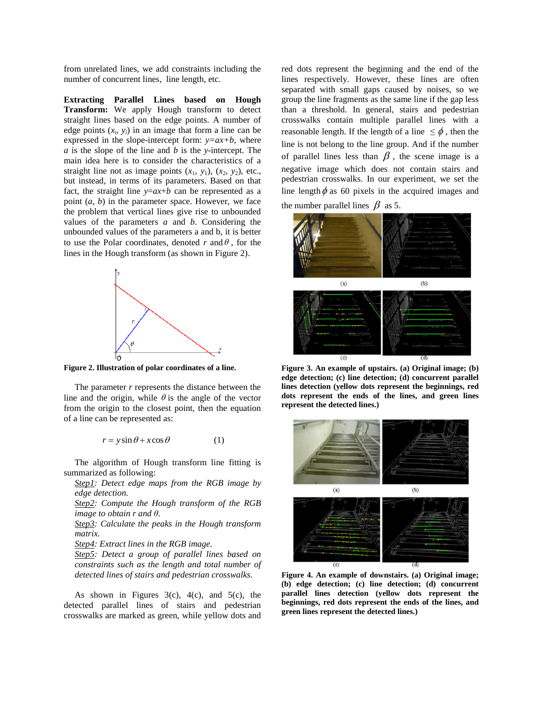from unrelated lines, we add constraints including the number of concurrent lines, line length, etc.

**Extracting Parallel Lines based on Hough Transform:** We apply Hough transform to detect straight lines based on the edge points. A number of edge points  $(x_i, y_i)$  in an image that form a line can be expressed in the slope-intercept form:  $y=ax+b$ , where *a* is the slope of the line and *b* is the *y*-intercept. The main idea here is to consider the characteristics of a straight line not as image points  $(x_1, y_1)$ ,  $(x_2, y_2)$ , etc., but instead, in terms of its parameters. Based on that fact, the straight line  $y=ax+b$  can be represented as a point (*a*, *b*) in the parameter space. However, we face the problem that vertical lines give rise to unbounded values of the parameters *a* and *b*. Considering the unbounded values of the parameters a and b, it is better to use the Polar coordinates, denoted  $r$  and  $\theta$ , for the lines in the Hough transform (as shown in Figure 2).



**Figure 2. Illustration of polar coordinates of a line.**

The parameter *r* represents the distance between the line and the origin, while  $\theta$  is the angle of the vector from the origin to the closest point, then the equation of a line can be represented as:

$$
r = y\sin\theta + x\cos\theta\tag{1}
$$

The algorithm of Hough transform line fitting is summarized as following:

*Step1: Detect edge maps from the RGB image by edge detection.*

*Step2: Compute the Hough transform of the RGB image to obtain r and θ.*

*Step3: Calculate the peaks in the Hough transform matrix.*

*Step4: Extract lines in the RGB image.*

*Step5: Detect a group of parallel lines based on constraints such as the length and total number of detected lines of stairs and pedestrian crosswalks.*

As shown in Figures  $3(c)$ ,  $4(c)$ , and  $5(c)$ , the detected parallel lines of stairs and pedestrian crosswalks are marked as green, while yellow dots and

red dots represent the beginning and the end of the lines respectively. However, these lines are often separated with small gaps caused by noises, so we group the line fragments as the same line if the gap less than a threshold. In general, stairs and pedestrian crosswalks contain multiple parallel lines with a reasonable length. If the length of a line  $\leq \phi$ , then the line is not belong to the line group. And if the number of parallel lines less than  $\beta$ , the scene image is a negative image which does not contain stairs and pedestrian crosswalks. In our experiment, we set the line length  $\phi$  as 60 pixels in the acquired images and the number parallel lines  $\beta$  as 5.



**Figure 3. An example of upstairs. (a) Original image; (b) edge detection; (c) line detection; (d) concurrent parallel lines detection (yellow dots represent the beginnings, red dots represent the ends of the lines, and green lines represent the detected lines.)**



**Figure 4. An example of downstairs. (a) Original image; (b) edge detection; (c) line detection; (d) concurrent parallel lines detection (yellow dots represent the beginnings, red dots represent the ends of the lines, and green lines represent the detected lines.)**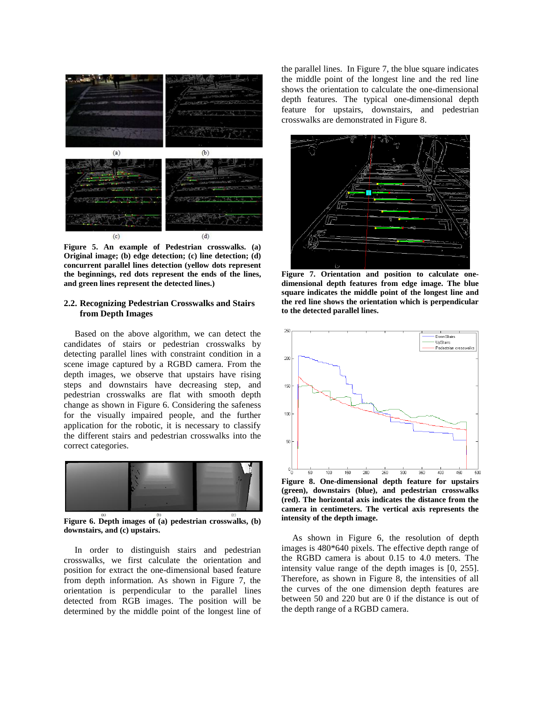

**Figure 5. An example of Pedestrian crosswalks. (a) Original image; (b) edge detection; (c) line detection; (d) concurrent parallel lines detection (yellow dots represent the beginnings, red dots represent the ends of the lines, and green lines represent the detected lines.)**

### **2.2. Recognizing Pedestrian Crosswalks and Stairs from Depth Images**

Based on the above algorithm, we can detect the candidates of stairs or pedestrian crosswalks by detecting parallel lines with constraint condition in a scene image captured by a RGBD camera. From the depth images, we observe that upstairs have rising steps and downstairs have decreasing step, and pedestrian crosswalks are flat with smooth depth change as shown in Figure 6. Considering the safeness for the visually impaired people, and the further application for the robotic, it is necessary to classify the different stairs and pedestrian crosswalks into the correct categories.



**Figure 6. Depth images of (a) pedestrian crosswalks, (b) downstairs, and (c) upstairs.**

In order to distinguish stairs and pedestrian crosswalks, we first calculate the orientation and position for extract the one-dimensional based feature from depth information. As shown in Figure 7, the orientation is perpendicular to the parallel lines detected from RGB images. The position will be determined by the middle point of the longest line of

the parallel lines. In Figure 7, the blue square indicates the middle point of the longest line and the red line shows the orientation to calculate the one-dimensional depth features. The typical one-dimensional depth feature for upstairs, downstairs, and pedestrian crosswalks are demonstrated in Figure 8.



**Figure 7. Orientation and position to calculate onedimensional depth features from edge image. The blue square indicates the middle point of the longest line and the red line shows the orientation which is perpendicular to the detected parallel lines.**



**Figure 8. One-dimensional depth feature for upstairs (green), downstairs (blue), and pedestrian crosswalks (red). The horizontal axis indicates the distance from the camera in centimeters. The vertical axis represents the intensity of the depth image.**

As shown in Figure 6, the resolution of depth images is 480\*640 pixels. The effective depth range of the RGBD camera is about 0.15 to 4.0 meters. The intensity value range of the depth images is [0, 255]. Therefore, as shown in Figure 8, the intensities of all the curves of the one dimension depth features are between 50 and 220 but are 0 if the distance is out of the depth range of a RGBD camera.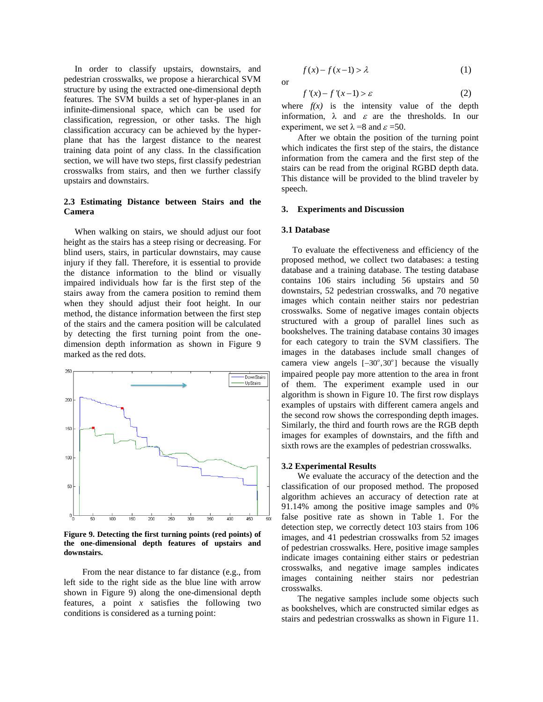In order to classify upstairs, downstairs, and pedestrian crosswalks, we propose a hierarchical SVM structure by using the extracted one-dimensional depth features. The SVM builds a set of hyper-planes in an infinite-dimensional space, which can be used for classification, regression, or other tasks. The high classification accuracy can be achieved by the hyperplane that has the largest distance to the nearest training data point of any class. In the classification section, we will have two steps, first classify pedestrian crosswalks from stairs, and then we further classify upstairs and downstairs.

### **2.3 Estimating Distance between Stairs and the Camera**

When walking on stairs, we should adjust our foot height as the stairs has a steep rising or decreasing. For blind users, stairs, in particular downstairs, may cause injury if they fall. Therefore, it is essential to provide the distance information to the blind or visually impaired individuals how far is the first step of the stairs away from the camera position to remind them when they should adjust their foot height. In our method, the distance information between the first step of the stairs and the camera position will be calculated by detecting the first turning point from the onedimension depth information as shown in Figure 9 marked as the red dots.



**Figure 9. Detecting the first turning points (red points) of the one-dimensional depth features of upstairs and downstairs.**

From the near distance to far distance (e.g., from left side to the right side as the blue line with arrow shown in Figure 9) along the one-dimensional depth features, a point *x* satisfies the following two conditions is considered as a turning point:

$$
f(x) - f(x-1) > \lambda \tag{1}
$$

$$
f'(x) - f'(x-1) > \varepsilon \tag{2}
$$

where  $f(x)$  is the intensity value of the depth information,  $\lambda$  and  $\varepsilon$  are the thresholds. In our experiment, we set  $\lambda = 8$  and  $\varepsilon = 50$ .

After we obtain the position of the turning point which indicates the first step of the stairs, the distance information from the camera and the first step of the stairs can be read from the original RGBD depth data. This distance will be provided to the blind traveler by speech.

## **3. Experiments and Discussion**

#### **3.1 Database**

or

To evaluate the effectiveness and efficiency of the proposed method, we collect two databases: a testing database and a training database. The testing database contains 106 stairs including 56 upstairs and 50 downstairs, 52 pedestrian crosswalks, and 70 negative images which contain neither stairs nor pedestrian crosswalks. Some of negative images contain objects structured with a group of parallel lines such as bookshelves. The training database contains 30 images for each category to train the SVM classifiers. The images in the databases include small changes of camera view angels  $[-30^\circ, 30^\circ]$  because the visually impaired people pay more attention to the area in front of them. The experiment example used in our algorithm is shown in Figure 10. The first row displays examples of upstairs with different camera angels and the second row shows the corresponding depth images. Similarly, the third and fourth rows are the RGB depth images for examples of downstairs, and the fifth and sixth rows are the examples of pedestrian crosswalks.

#### **3.2 Experimental Results**

We evaluate the accuracy of the detection and the classification of our proposed method. The proposed algorithm achieves an accuracy of detection rate at 91.14% among the positive image samples and 0% false positive rate as shown in Table 1. For the detection step, we correctly detect 103 stairs from 106 images, and 41 pedestrian crosswalks from 52 images of pedestrian crosswalks. Here, positive image samples indicate images containing either stairs or pedestrian crosswalks, and negative image samples indicates images containing neither stairs nor pedestrian crosswalks.

The negative samples include some objects such as bookshelves, which are constructed similar edges as stairs and pedestrian crosswalks as shown in Figure 11.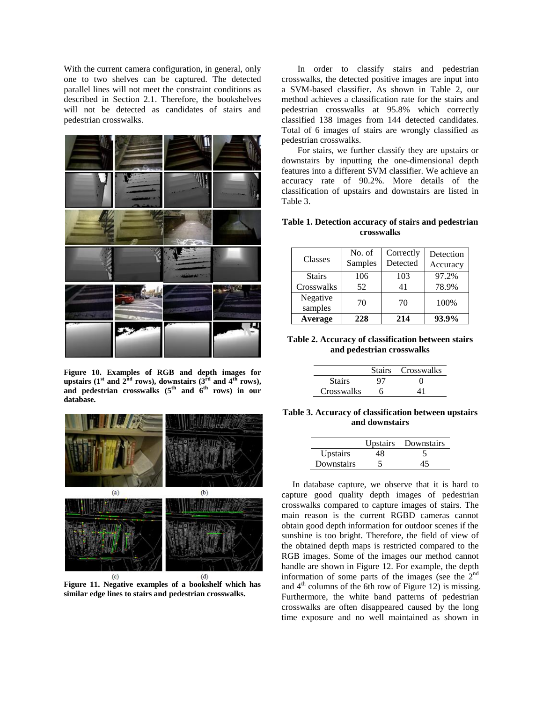With the current camera configuration, in general, only one to two shelves can be captured. The detected parallel lines will not meet the constraint conditions as described in Section 2.1. Therefore, the bookshelves will not be detected as candidates of stairs and pedestrian crosswalks.



**Figure 10. Examples of RGB and depth images for**  upstairs ( $1^{\text{st}}$  and  $2^{\text{nd}}$  rows), downstairs ( $3^{\text{rd}}$  and  $4^{\text{th}}$  rows), **and pedestrian crosswalks (5th and 6th rows) in our database.** 



**Figure 11. Negative examples of a bookshelf which has similar edge lines to stairs and pedestrian crosswalks.**

In order to classify stairs and pedestrian crosswalks, the detected positive images are input into a SVM-based classifier. As shown in Table 2, our method achieves a classification rate for the stairs and pedestrian crosswalks at 95.8% which correctly classified 138 images from 144 detected candidates. Total of 6 images of stairs are wrongly classified as pedestrian crosswalks.

For stairs, we further classify they are upstairs or downstairs by inputting the one-dimensional depth features into a different SVM classifier. We achieve an accuracy rate of 90.2%. More details of the classification of upstairs and downstairs are listed in Table 3.

## **Table 1. Detection accuracy of stairs and pedestrian crosswalks**

| Classes             | No. of<br>Samples | Correctly<br>Detected | Detection<br>Accuracy |
|---------------------|-------------------|-----------------------|-----------------------|
| <b>Stairs</b>       | 106               | 103                   | 97.2%                 |
| Crosswalks          | 52                | 41                    | 78.9%                 |
| Negative<br>samples | 70                | 70                    | 100%                  |
| Average             | 228               | 214                   | 93.9%                 |

## **Table 2. Accuracy of classification between stairs and pedestrian crosswalks**

|               |    | Stairs Crosswalks |
|---------------|----|-------------------|
| <b>Stairs</b> | 97 | $\lq$             |
| Crosswalks    | h  |                   |

**Table 3. Accuracy of classification between upstairs and downstairs**

|            |    | Upstairs Downstairs |
|------------|----|---------------------|
| Upstairs   | 48 |                     |
| Downstairs |    |                     |

In database capture, we observe that it is hard to capture good quality depth images of pedestrian crosswalks compared to capture images of stairs. The main reason is the current RGBD cameras cannot obtain good depth information for outdoor scenes if the sunshine is too bright. Therefore, the field of view of the obtained depth maps is restricted compared to the RGB images. Some of the images our method cannot handle are shown in Figure 12. For example, the depth information of some parts of the images (see the  $2<sup>nd</sup>$ and  $4<sup>th</sup>$  columns of the 6th row of Figure 12) is missing. Furthermore, the white band patterns of pedestrian crosswalks are often disappeared caused by the long time exposure and no well maintained as shown in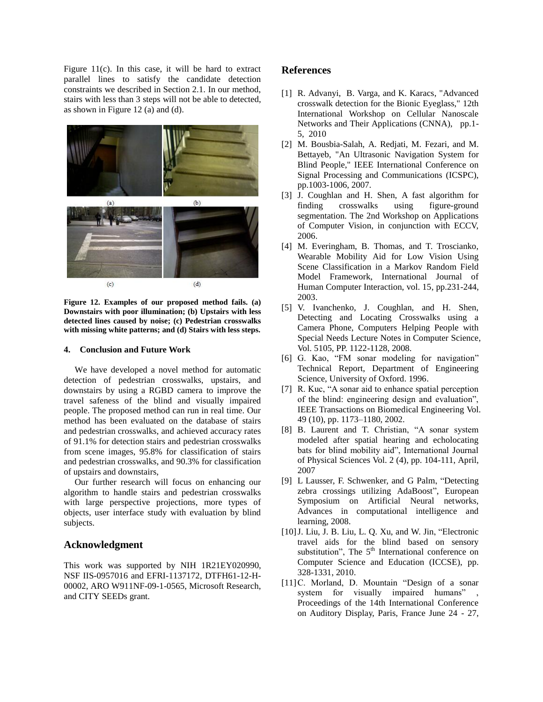Figure  $11(c)$ . In this case, it will be hard to extract parallel lines to satisfy the candidate detection constraints we described in Section 2.1. In our method, stairs with less than 3 steps will not be able to detected, as shown in Figure 12 (a) and (d).



**Figure 12. Examples of our proposed method fails. (a) Downstairs with poor illumination; (b) Upstairs with less detected lines caused by noise; (c) Pedestrian crosswalks with missing white patterns; and (d) Stairs with less steps.** 

#### **4. Conclusion and Future Work**

We have developed a novel method for automatic detection of pedestrian crosswalks, upstairs, and downstairs by using a RGBD camera to improve the travel safeness of the blind and visually impaired people. The proposed method can run in real time. Our method has been evaluated on the database of stairs and pedestrian crosswalks, and achieved accuracy rates of 91.1% for detection stairs and pedestrian crosswalks from scene images, 95.8% for classification of stairs and pedestrian crosswalks, and 90.3% for classification of upstairs and downstairs,

Our further research will focus on enhancing our algorithm to handle stairs and pedestrian crosswalks with large perspective projections, more types of objects, user interface study with evaluation by blind subjects.

## **Acknowledgment**

This work was supported by NIH 1R21EY020990, NSF IIS-0957016 and EFRI-1137172, DTFH61-12-H-00002, ARO W911NF-09-1-0565, Microsoft Research, and CITY SEEDs grant.

## **References**

- [1] R. Advanyi, B. Varga, and K. Karacs, "Advanced crosswalk detection for the Bionic Eyeglass," 12th International Workshop on Cellular Nanoscale Networks and Their Applications (CNNA), pp.1- 5, 2010
- [2] M. Bousbia-Salah, A. Redjati, M. Fezari, and M. Bettayeb, "An Ultrasonic Navigation System for Blind People," IEEE International Conference on Signal Processing and Communications (ICSPC), pp.1003-1006, 2007.
- [3] J. Coughlan and H. Shen, A fast algorithm for finding crosswalks using figure-ground segmentation. The 2nd Workshop on Applications of Computer Vision, in conjunction with ECCV, 2006.
- [4] M. Everingham, B. Thomas, and T. Troscianko, Wearable Mobility Aid for Low Vision Using Scene Classification in a Markov Random Field Model Framework, International Journal of Human Computer Interaction, vol. 15, pp.231-244, 2003.
- [5] V. Ivanchenko, J. Coughlan, and H. Shen, Detecting and Locating Crosswalks using a Camera Phone, Computers Helping People with Special Needs Lecture Notes in Computer Science, Vol. 5105, PP. 1122-1128, 2008.
- [6] G. Kao, "FM sonar modeling for navigation" Technical Report, Department of Engineering Science, University of Oxford. 1996.
- [7] R. Kuc, "A sonar aid to enhance spatial perception of the blind: engineering design and evaluation", IEEE Transactions on Biomedical Engineering Vol. 49 (10), pp. 1173–1180, 2002.
- [8] B. Laurent and T. Christian, "A sonar system modeled after spatial hearing and echolocating bats for blind mobility aid", International Journal of Physical Sciences Vol. 2 (4), pp. 104-111, April, 2007
- [9] L Lausser, F. Schwenker, and G Palm, "Detecting zebra crossings utilizing AdaBoost", European Symposium on Artificial Neural networks, Advances in computational intelligence and learning, 2008.
- [10]J. Liu, J. B. Liu, L. Q. Xu, and W. Jin, "Electronic travel aids for the blind based on sensory substitution", The  $5<sup>th</sup>$  International conference on Computer Science and Education (ICCSE), pp. 328-1331, 2010.
- [11] C. Morland, D. Mountain "Design of a sonar system for visually impaired humans" Proceedings of the 14th International Conference on Auditory Display, Paris, France June 24 - 27,